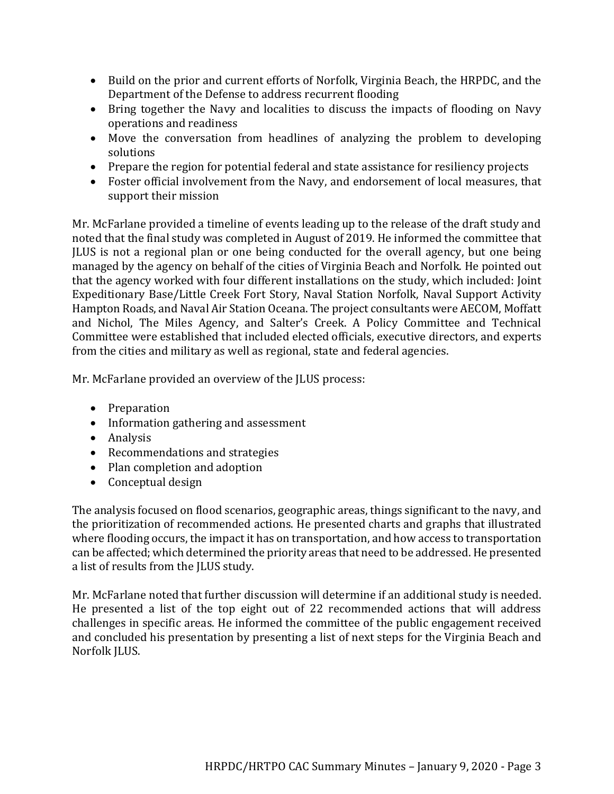- Build on the prior and current efforts of Norfolk, Virginia Beach, the HRPDC, and the Department of the Defense to address recurrent flooding
- Bring together the Navy and localities to discuss the impacts of flooding on Navy operations and readiness
- Move the conversation from headlines of analyzing the problem to developing solutions
- Prepare the region for potential federal and state assistance for resiliency projects
- Foster official involvement from the Navy, and endorsement of local measures, that support their mission

Mr. McFarlane provided a timeline of events leading up to the release of the draft study and noted that the final study was completed in August of 2019. He informed the committee that JLUS is not a regional plan or one being conducted for the overall agency, but one being managed by the agency on behalf of the cities of Virginia Beach and Norfolk. He pointed out that the agency worked with four different installations on the study, which included: Joint Expeditionary Base/Little Creek Fort Story, Naval Station Norfolk, Naval Support Activity Hampton Roads, and Naval Air Station Oceana. The project consultants were AECOM, Moffatt and Nichol, The Miles Agency, and Salter's Creek. A Policy Committee and Technical Committee were established that included elected officials, executive directors, and experts from the cities and military as well as regional, state and federal agencies.

Mr. McFarlane provided an overview of the JLUS process:

- Preparation
- Information gathering and assessment
- Analysis
- Recommendations and strategies
- Plan completion and adoption
- Conceptual design

The analysis focused on flood scenarios, geographic areas, things significant to the navy, and the prioritization of recommended actions. He presented charts and graphs that illustrated where flooding occurs, the impact it has on transportation, and how access to transportation can be affected; which determined the priority areas that need to be addressed. He presented a list of results from the JLUS study.

Mr. McFarlane noted that further discussion will determine if an additional study is needed. He presented a list of the top eight out of 22 recommended actions that will address challenges in specific areas. He informed the committee of the public engagement received and concluded his presentation by presenting a list of next steps for the Virginia Beach and Norfolk JLUS.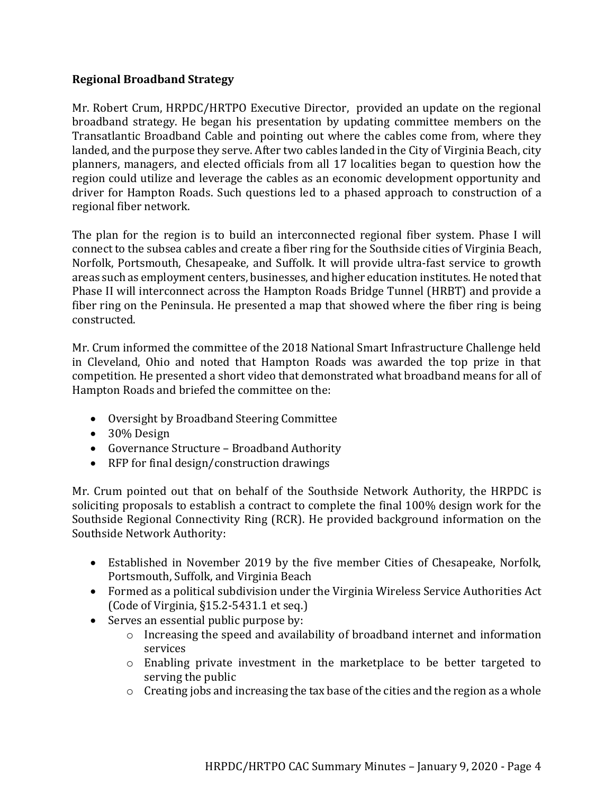#### **Regional Broadband Strategy**

Mr. Robert Crum, HRPDC/HRTPO Executive Director, provided an update on the regional broadband strategy. He began his presentation by updating committee members on the Transatlantic Broadband Cable and pointing out where the cables come from, where they landed, and the purpose they serve. After two cables landed in the City of Virginia Beach, city planners, managers, and elected officials from all 17 localities began to question how the region could utilize and leverage the cables as an economic development opportunity and driver for Hampton Roads. Such questions led to a phased approach to construction of a regional fiber network.

The plan for the region is to build an interconnected regional fiber system. Phase I will connect to the subsea cables and create a fiber ring for the Southside cities of Virginia Beach, Norfolk, Portsmouth, Chesapeake, and Suffolk. It will provide ultra-fast service to growth areas such as employment centers, businesses, and higher education institutes. He noted that Phase II will interconnect across the Hampton Roads Bridge Tunnel (HRBT) and provide a fiber ring on the Peninsula. He presented a map that showed where the fiber ring is being constructed.

Mr. Crum informed the committee of the 2018 National Smart Infrastructure Challenge held in Cleveland, Ohio and noted that Hampton Roads was awarded the top prize in that competition. He presented a short video that demonstrated what broadband means for all of Hampton Roads and briefed the committee on the:

- Oversight by Broadband Steering Committee
- 30% Design
- Governance Structure Broadband Authority
- RFP for final design/construction drawings

Mr. Crum pointed out that on behalf of the Southside Network Authority, the HRPDC is soliciting proposals to establish a contract to complete the final 100% design work for the Southside Regional Connectivity Ring (RCR). He provided background information on the Southside Network Authority:

- Established in November 2019 by the five member Cities of Chesapeake, Norfolk, Portsmouth, Suffolk, and Virginia Beach
- Formed as a political subdivision under the Virginia Wireless Service Authorities Act (Code of Virginia, §15.2-5431.1 et seq.)
- Serves an essential public purpose by:
	- o Increasing the speed and availability of broadband internet and information services
	- o Enabling private investment in the marketplace to be better targeted to serving the public
	- $\circ$  Creating jobs and increasing the tax base of the cities and the region as a whole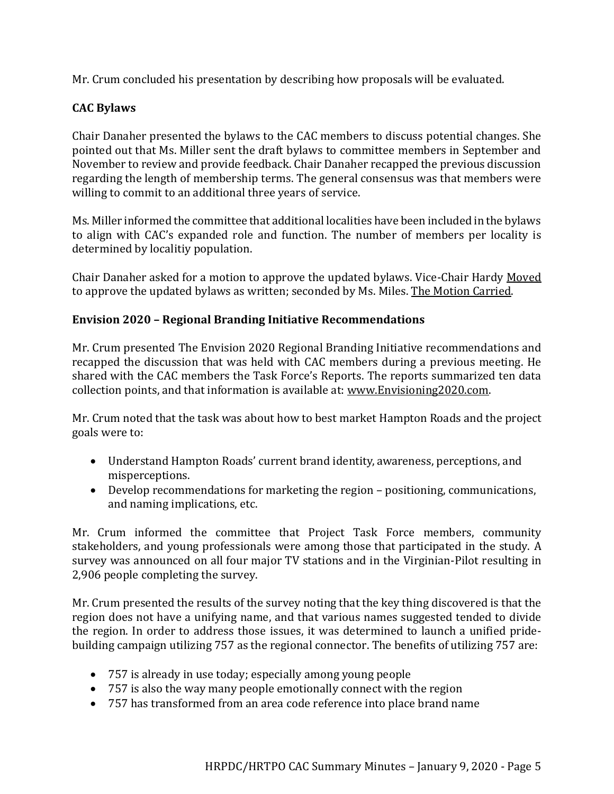Mr. Crum concluded his presentation by describing how proposals will be evaluated.

# **CAC Bylaws**

Chair Danaher presented the bylaws to the CAC members to discuss potential changes. She pointed out that Ms. Miller sent the draft bylaws to committee members in September and November to review and provide feedback. Chair Danaher recapped the previous discussion regarding the length of membership terms. The general consensus was that members were willing to commit to an additional three years of service.

Ms. Miller informed the committee that additional localities have been included in the bylaws to align with CAC's expanded role and function. The number of members per locality is determined by localitiy population.

Chair Danaher asked for a motion to approve the updated bylaws. Vice-Chair Hardy Moved to approve the updated bylaws as written; seconded by Ms. Miles. The Motion Carried.

## **Envision 2020 – Regional Branding Initiative Recommendations**

Mr. Crum presented The Envision 2020 Regional Branding Initiative recommendations and recapped the discussion that was held with CAC members during a previous meeting. He shared with the CAC members the Task Force's Reports. The reports summarized ten data collection points, and that information is available at: [www.Envisioning2020.com.](http://www.envisioning2020.com/)

Mr. Crum noted that the task was about how to best market Hampton Roads and the project goals were to:

- Understand Hampton Roads' current brand identity, awareness, perceptions, and misperceptions.
- Develop recommendations for marketing the region positioning, communications, and naming implications, etc.

Mr. Crum informed the committee that Project Task Force members, community stakeholders, and young professionals were among those that participated in the study. A survey was announced on all four major TV stations and in the Virginian-Pilot resulting in 2,906 people completing the survey.

Mr. Crum presented the results of the survey noting that the key thing discovered is that the region does not have a unifying name, and that various names suggested tended to divide the region. In order to address those issues, it was determined to launch a unified pridebuilding campaign utilizing 757 as the regional connector. The benefits of utilizing 757 are:

- 757 is already in use today; especially among young people
- 757 is also the way many people emotionally connect with the region
- 757 has transformed from an area code reference into place brand name